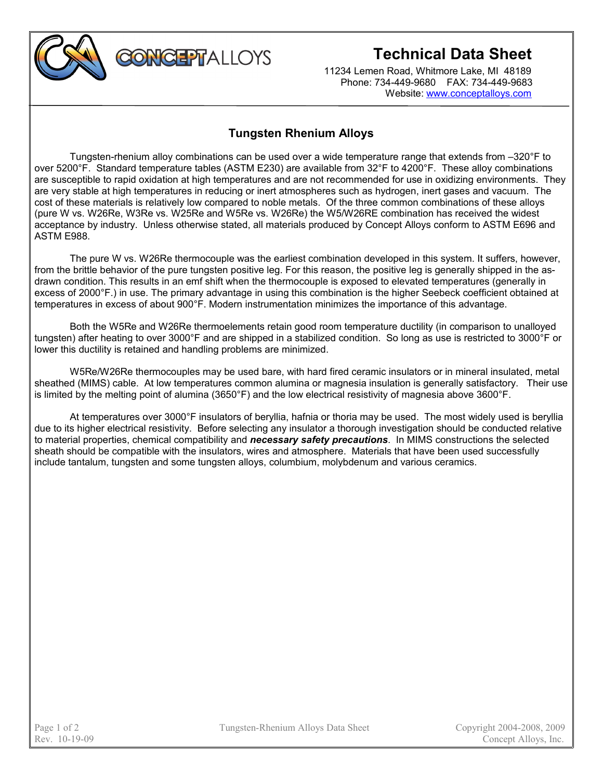

## CONCEPTALLOYS **Technical Data Sheet**

 11234 Lemen Road, Whitmore Lake, MI 48189 Phone: 734-449-9680 FAX: 734-449-9683 Website: [www.conceptalloys.com](http://www.conceptalloys.com/)

## **Tungsten Rhenium Alloys**

Tungsten-rhenium alloy combinations can be used over a wide temperature range that extends from –320°F to over 5200°F. Standard temperature tables (ASTM E230) are available from 32°F to 4200°F. These alloy combinations are susceptible to rapid oxidation at high temperatures and are not recommended for use in oxidizing environments. They are very stable at high temperatures in reducing or inert atmospheres such as hydrogen, inert gases and vacuum. The cost of these materials is relatively low compared to noble metals. Of the three common combinations of these alloys (pure W vs. W26Re, W3Re vs. W25Re and W5Re vs. W26Re) the W5/W26RE combination has received the widest acceptance by industry. Unless otherwise stated, all materials produced by Concept Alloys conform to ASTM E696 and ASTM E988.

The pure W vs. W26Re thermocouple was the earliest combination developed in this system. It suffers, however, from the brittle behavior of the pure tungsten positive leg. For this reason, the positive leg is generally shipped in the asdrawn condition. This results in an emf shift when the thermocouple is exposed to elevated temperatures (generally in excess of 2000°F.) in use. The primary advantage in using this combination is the higher Seebeck coefficient obtained at temperatures in excess of about 900°F. Modern instrumentation minimizes the importance of this advantage.

Both the W5Re and W26Re thermoelements retain good room temperature ductility (in comparison to unalloyed tungsten) after heating to over 3000°F and are shipped in a stabilized condition. So long as use is restricted to 3000°F or lower this ductility is retained and handling problems are minimized.

W5Re/W26Re thermocouples may be used bare, with hard fired ceramic insulators or in mineral insulated, metal sheathed (MIMS) cable. At low temperatures common alumina or magnesia insulation is generally satisfactory. Their use is limited by the melting point of alumina (3650°F) and the low electrical resistivity of magnesia above 3600°F.

At temperatures over 3000°F insulators of beryllia, hafnia or thoria may be used. The most widely used is beryllia due to its higher electrical resistivity. Before selecting any insulator a thorough investigation should be conducted relative to material properties, chemical compatibility and *necessary safety precautions*. In MIMS constructions the selected sheath should be compatible with the insulators, wires and atmosphere. Materials that have been used successfully include tantalum, tungsten and some tungsten alloys, columbium, molybdenum and various ceramics.